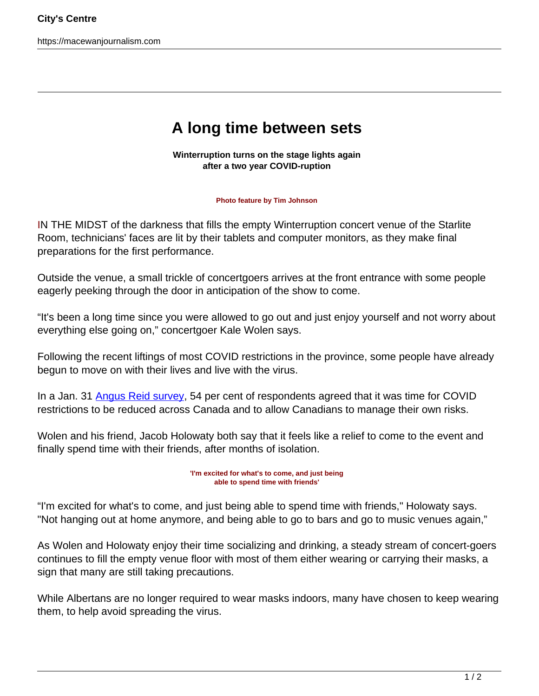https://macewanjournalism.com

## **A long time between sets**

**Winterruption turns on the stage lights again after a two year COVID-ruption**

## **Photo feature by Tim Johnson**

IN THE MIDST of the darkness that fills the empty Winterruption concert venue of the Starlite Room, technicians' faces are lit by their tablets and computer monitors, as they make final preparations for the first performance.

Outside the venue, a small trickle of concertgoers arrives at the front entrance with some people eagerly peeking through the door in anticipation of the show to come.

"It's been a long time since you were allowed to go out and just enjoy yourself and not worry about everything else going on," concertgoer Kale Wolen says.

Following the recent liftings of most COVID restrictions in the province, some people have already begun to move on with their lives and live with the virus.

In a Jan. 31 [Angus Reid survey](https://angusreid.org/omicron-incidence-restrictions/), 54 per cent of respondents agreed that it was time for COVID restrictions to be reduced across Canada and to allow Canadians to manage their own risks.

Wolen and his friend, Jacob Holowaty both say that it feels like a relief to come to the event and finally spend time with their friends, after months of isolation.

> **'I'm excited for what's to come, and just being able to spend time with friends'**

"I'm excited for what's to come, and just being able to spend time with friends," Holowaty says. "Not hanging out at home anymore, and being able to go to bars and go to music venues again,"

As Wolen and Holowaty enjoy their time socializing and drinking, a steady stream of concert-goers continues to fill the empty venue floor with most of them either wearing or carrying their masks, a sign that many are still taking precautions.

While Albertans are no longer required to wear masks indoors, many have chosen to keep wearing them, to help avoid spreading the virus.